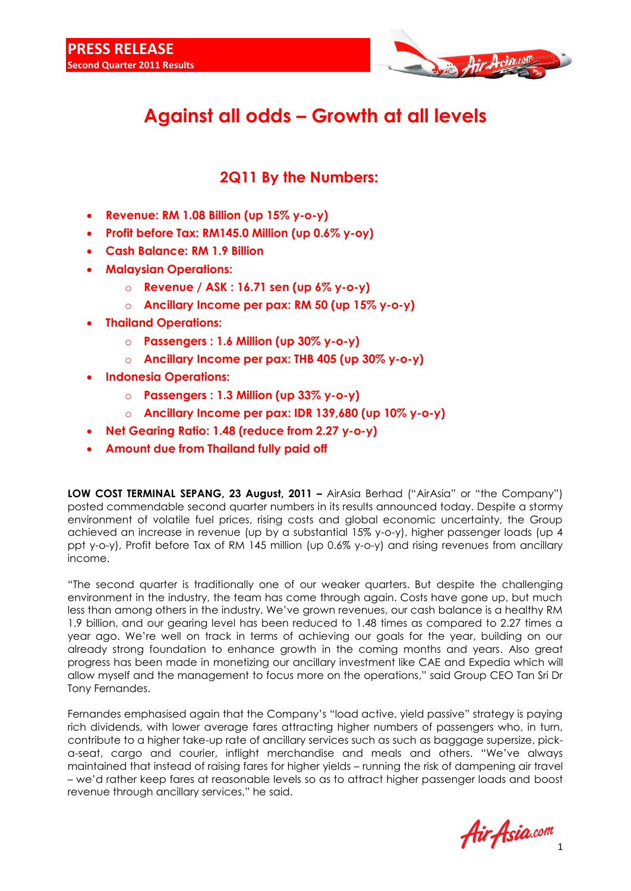

## **Against all odds – Growth at all levels**

## **2Q11 By the Numbers:**

- **Revenue: RM 1.08 Billion (up 15% y-o-y)**
- **Profit before Tax: RM145.0 Million (up 0.6% y-oy)**
- **Cash Balance: RM 1.9 Billion**
- **Malaysian Operations:**
	- o **Revenue / ASK : 16.71 sen (up 6% y-o-y)**
	- o **Ancillary Income per pax: RM 50 (up 15% y-o-y)**
- **Thailand Operations:**
	- o **Passengers : 1.6 Million (up 30% y-o-y)**
	- o **Ancillary Income per pax: THB 405 (up 30% y-o-y)**
- **Indonesia Operations:**
	- o **Passengers : 1.3 Million (up 33% y-o-y)**
	- o **Ancillary Income per pax: IDR 139,680 (up 10% y-o-y)**
- **Net Gearing Ratio: 1.48 (reduce from 2.27 y-o-y)**
- **Amount due from Thailand fully paid off**

**LOW COST TERMINAL SEPANG, 23 August, 2011 - AirAsia Berhad ("AirAsia" or "the Company")** posted commendable second quarter numbers in its results announced today. Despite a stormy environment of volatile fuel prices, rising costs and global economic uncertainty, the Group achieved an increase in revenue (up by a substantial 15% y-o-y), higher passenger loads (up 4 ppt y-o-y), Profit before Tax of RM 145 million (up 0.6% y-o-y) and rising revenues from ancillary income.

"The second quarter is traditionally one of our weaker quarters. But despite the challenging environment in the industry, the team has come through again. Costs have gone up, but much less than among others in the industry. We've grown revenues, our cash balance is a healthy RM 1.9 billion, and our gearing level has been reduced to 1.48 times as compared to 2.27 times a year ago. We're well on track in terms of achieving our goals for the year, building on our already strong foundation to enhance growth in the coming months and years. Also great progress has been made in monetizing our ancillary investment like CAE and Expedia which will allow myself and the management to focus more on the operations," said Group CEO Tan Sri Dr Tony Fernandes.

Fernandes emphasised again that the Company's "load active, yield passive" strategy is paying rich dividends, with lower average fares attracting higher numbers of passengers who, in turn, contribute to a higher take-up rate of ancillary services such as such as baggage supersize, picka-seat, cargo and courier, inflight merchandise and meals and others. "We've always maintained that instead of raising fares for higher yields – running the risk of dampening air travel – we'd rather keep fares at reasonable levels so as to attract higher passenger loads and boost revenue through ancillary services," he said.

Air Asia.com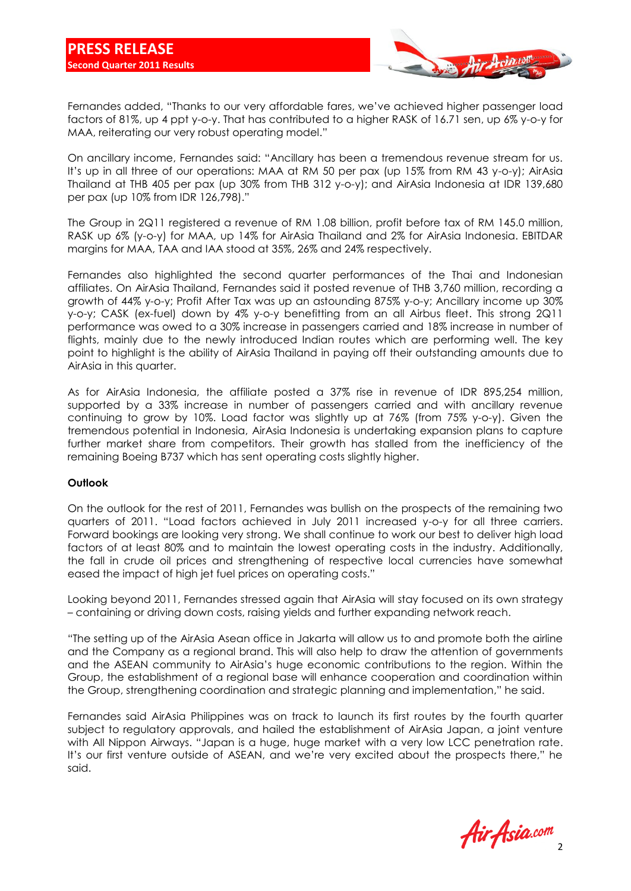

Fernandes added, "Thanks to our very affordable fares, we've achieved higher passenger load factors of 81%, up 4 ppt y-o-y. That has contributed to a higher RASK of 16.71 sen, up 6% y-o-y for MAA, reiterating our very robust operating model."

On ancillary income, Fernandes said: "Ancillary has been a tremendous revenue stream for us. It's up in all three of our operations: MAA at RM 50 per pax (up 15% from RM 43 y-o-y); AirAsia Thailand at THB 405 per pax (up 30% from THB 312 y-o-y); and AirAsia Indonesia at IDR 139,680 per pax (up 10% from IDR 126,798)."

The Group in 2Q11 registered a revenue of RM 1.08 billion, profit before tax of RM 145.0 million, RASK up 6% (y-o-y) for MAA, up 14% for AirAsia Thailand and 2% for AirAsia Indonesia. EBITDAR margins for MAA, TAA and IAA stood at 35%, 26% and 24% respectively.

Fernandes also highlighted the second quarter performances of the Thai and Indonesian affiliates. On AirAsia Thailand, Fernandes said it posted revenue of THB 3,760 million, recording a growth of 44% y-o-y; Profit After Tax was up an astounding 875% y-o-y; Ancillary income up 30% y-o-y; CASK (ex-fuel) down by 4% y-o-y benefitting from an all Airbus fleet. This strong 2Q11 performance was owed to a 30% increase in passengers carried and 18% increase in number of flights, mainly due to the newly introduced Indian routes which are performing well. The key point to highlight is the ability of AirAsia Thailand in paying off their outstanding amounts due to AirAsia in this quarter.

As for AirAsia Indonesia, the affiliate posted a 37% rise in revenue of IDR 895,254 million, supported by a 33% increase in number of passengers carried and with ancillary revenue continuing to grow by 10%. Load factor was slightly up at 76% (from 75% y-o-y). Given the tremendous potential in Indonesia, AirAsia Indonesia is undertaking expansion plans to capture further market share from competitors. Their growth has stalled from the inefficiency of the remaining Boeing B737 which has sent operating costs slightly higher.

## **Outlook**

On the outlook for the rest of 2011, Fernandes was bullish on the prospects of the remaining two quarters of 2011. "Load factors achieved in July 2011 increased y-o-y for all three carriers. Forward bookings are looking very strong. We shall continue to work our best to deliver high load factors of at least 80% and to maintain the lowest operating costs in the industry. Additionally, the fall in crude oil prices and strengthening of respective local currencies have somewhat eased the impact of high jet fuel prices on operating costs."

Looking beyond 2011, Fernandes stressed again that AirAsia will stay focused on its own strategy – containing or driving down costs, raising yields and further expanding network reach.

"The setting up of the AirAsia Asean office in Jakarta will allow us to and promote both the airline and the Company as a regional brand. This will also help to draw the attention of governments and the ASEAN community to AirAsia's huge economic contributions to the region. Within the Group, the establishment of a regional base will enhance cooperation and coordination within the Group, strengthening coordination and strategic planning and implementation," he said.

Fernandes said AirAsia Philippines was on track to launch its first routes by the fourth quarter subject to regulatory approvals, and hailed the establishment of AirAsia Japan, a joint venture with All Nippon Airways. "Japan is a huge, huge market with a very low LCC penetration rate. It's our first venture outside of ASEAN, and we're very excited about the prospects there," he said.

Air Asia.com